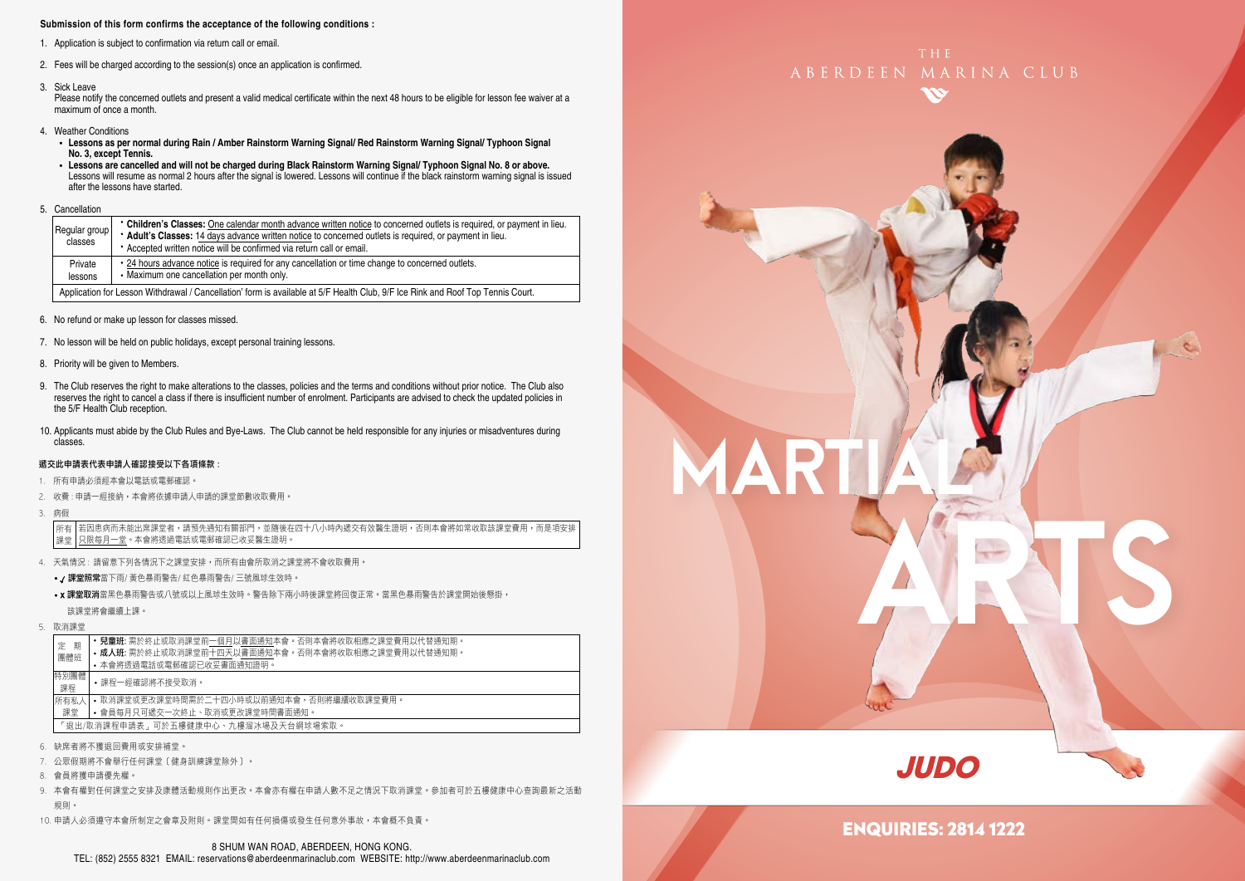#### **Submission of this form confirms the acceptance of the following conditions :**

- 1. Application is subject to confirmation via return call or email.
- 2. Fees will be charged according to the session(s) once an application is confirmed.
- 3. Sick Leave

Please notify the concerned outlets and present a valid medical certificate within the next 48 hours to be eligible for lesson fee waiver at a maximum of once a month.

- 4. Weather Conditions
	- **Lessons as per normal during Rain / Amber Rainstorm Warning Signal/ Red Rainstorm Warning Signal/ Typhoon Signal No. 3, except Tennis.**
	- **Lessons are cancelled and will not be charged during Black Rainstorm Warning Signal/ Typhoon Signal No. 8 or above.** Lessons will resume as normal 2 hours after the signal is lowered. Lessons will continue if the black rainstorm warning signal is issued after the lessons have started.
- 5. Cancellation

| Regular group<br>classes | • Children's Classes: One calendar month advance written notice to concerned outlets is required, or payment in lieu.<br>* Adult's Classes: 14 days advance written notice to concerned outlets is required, or payment in lieu.<br>* Accepted written notice will be confirmed via return call or email. |
|--------------------------|-----------------------------------------------------------------------------------------------------------------------------------------------------------------------------------------------------------------------------------------------------------------------------------------------------------|
| Private<br>lessons       | • 24 hours advance notice is required for any cancellation or time change to concerned outlets.<br>• Maximum one cancellation per month only.                                                                                                                                                             |
|                          | Application for Lesson Withdrawal / Cancellation' form is available at 5/F Health Club, 9/F Ice Rink and Roof Top Tennis Court.                                                                                                                                                                           |

- 6. No refund or make up lesson for classes missed.
- 7. No lesson will be held on public holidays, except personal training lessons.
- 8. Priority will be given to Members.
- 9. The Club reserves the right to make alterations to the classes, policies and the terms and conditions without prior notice. The Club also reserves the right to cancel a class if there is insufficient number of enrolment. Participants are advised to check the updated policies in the 5/F Health Club reception.
- 10. Applicants must abide by the Club Rules and Bye-Laws. The Club cannot be held responsible for any injuries or misadventures during classes.

#### 遞交此申請表代表申請人確認接受以下各項條款 :

- 1. 所有申請必須經本會以電話或電郵確認。
- 2. 收費 : 申請一經接納,本會將依據申請人申請的課堂節數收取費用。
- 3. 病假

若因患病而未能出席課堂者,請預先通知有關部門,並隨後在四十八小時內遞交有效醫生證明,否則本會將如常收取該課堂費用,而是項安排 只限每月一堂。本會將透過電話或電郵確認已收妥醫生證明。 所有 課堂

- 4. 天氣情況 : 請留意下列各情況下之課堂安排,而所有由會所取消之課堂將不會收取費用。
	- / 課堂照常當下雨/ 黃色暴雨警告/ 紅色暴雨警告/ 三號風球生效時。
	- x 課堂取消當黑色暴雨警告或八號或以上風球生效時。警告除下兩小時後課堂將回復正常。當黑色暴雨警告於課堂開始後懸掛, 該課堂將會繼續上課。
- 5. 取消課堂

| 期<br>定                              | <b>兒童班:</b> 需於終止或取消課堂前一個月以書面通知本會。否則本會將收取相應之課堂費用以代替通知期。 |  |  |  |
|-------------------------------------|--------------------------------------------------------|--|--|--|
| 團體班                                 | • 成人班: 需於終止或取消課堂前十四天以書面通知本會。否則本會將收取相應之課堂費用以代替通知期。      |  |  |  |
|                                     | • 本會將诱過電話或電郵確認已收妥書面通知證明。                               |  |  |  |
| 特別團體<br>•課程一經確認將不接受取消。<br>課程        |                                                        |  |  |  |
| 所有私人                                | • 取消課堂或更改課堂時間需於二十四小時或以前通知本會,否則將繼續收取課堂費用。               |  |  |  |
| 課堂                                  | • 會員每月只可遞交一次終止、取消或更改課堂時間書面通知。                          |  |  |  |
| 「狠出/取消課程申請表,可於五樓健康中心、九樓溜冰場及天台網球場索取。 |                                                        |  |  |  |
|                                     |                                                        |  |  |  |

- 6. 缺席者將不獲退回費用或安排補堂。
- 7. 公眾假期將不會舉行任何課堂﹝健身訓練課堂除外﹞。
- 8. 會員將獲申請優先權。
- 9. 本會有權對任何課堂之安排及康體活動規則作出更改。本會亦有權在申請人數不足之情況下取消課堂。參加者可於五樓健康中心查詢最新之活動 規則。
- 10. 申請人必須遵守本會所制定之會章及附則。課堂間如有任何損傷或發生任何意外事故,本會概不負責。







## ENQUIRIES: 2814 1222